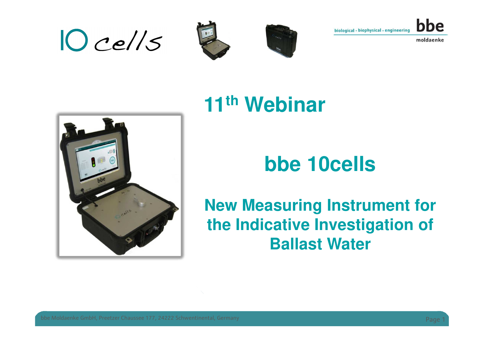







# **11th Webinar**

# **bbe 10cells**

#### **New Measuring Instrument for the Indicative Investigation of Ballast Water**

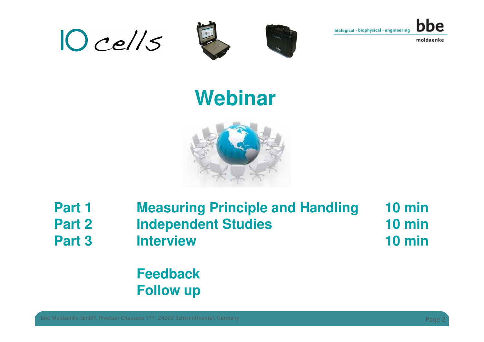







# **Webinar**



**Part 1 Measuring Principle and Handling 10 min**10 min **Part 2 Independent Studies 10 min**10 min **Part 3 Interview10 min**

> **FeedbackFollow up**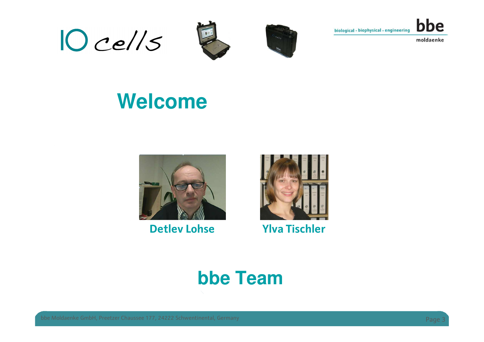







# **Welcome**



#### **Detlev Lohse Ylva Tischler**



#### **bbe Team**

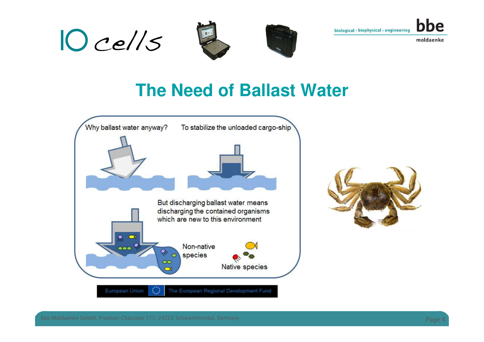







#### **The Need of Ballast Water**



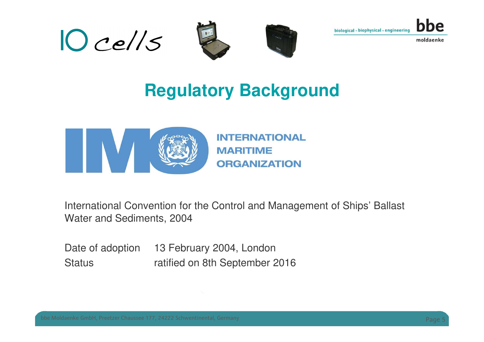







### **Regulatory Background**



**INTERNATIONAL MARITIME ORGANIZATION** 

International Convention for the Control and Management of Ships' Ballast Water and Sediments, 2004

Date of adoption 13 February 2004, London Status **ratified on 8th September 2016** 

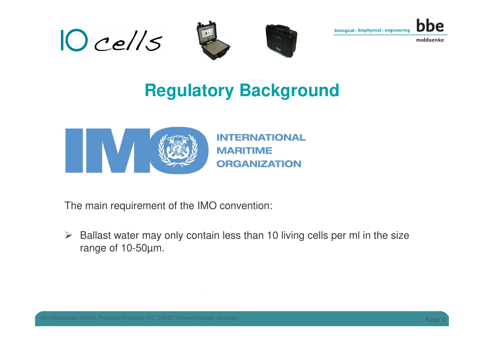







### **Regulatory Background**



**INTERNATIONAL MARITIME ORGANIZATION** 

The main requirement of the IMO convention:

 $\blacktriangleright$  Ballast water may only contain less than 10 living cells per ml in the size range of 10-50µm.

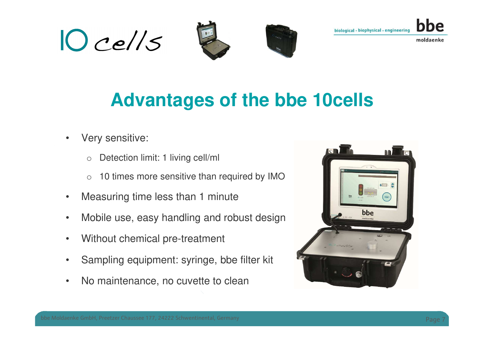







# **Advantages of the bbe 10cells**

- • Very sensitive:
	- oDetection limit: 1 living cell/ml
	- o10 times more sensitive than required by IMO
- •Measuring time less than 1 minute
- •Mobile use, easy handling and robust design
- •Without chemical pre-treatment
- •Sampling equipment: syringe, bbe filter kit
- •No maintenance, no cuvette to clean



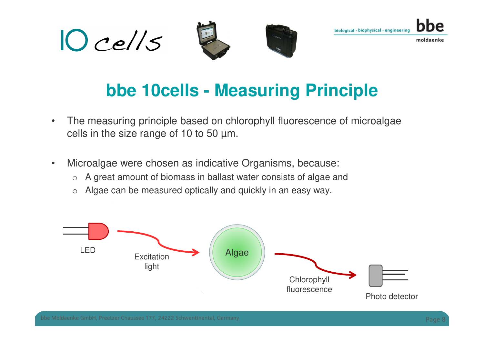







### **bbe 10cells - Measuring Principle**

- • The measuring principle based on chlorophyll fluorescence of microalgae cells in the size range of 10 to 50 µm.
- $\bullet$  Microalgae were chosen as indicative Organisms, because:
	- oA great amount of biomass in ballast water consists of algae and
	- $\circ$  Algae can be measured optically and quickly in an easy way.

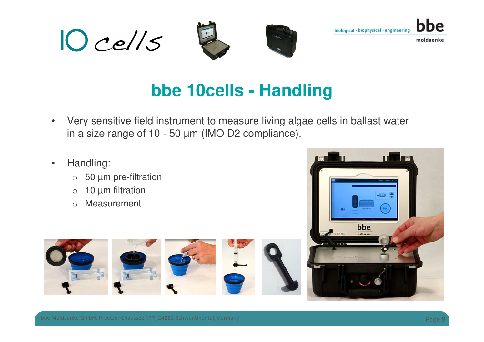







### **bbe 10cells - Handling**

- $\bullet$  Very sensitive field instrument to measure living algae cells in ballast water in a size range of 10 - 50 µm (IMO D2 compliance).
- $\bullet$  Handling:
	- o50 µm pre-filtration
	- o10 µm filtration
	- oMeasurement



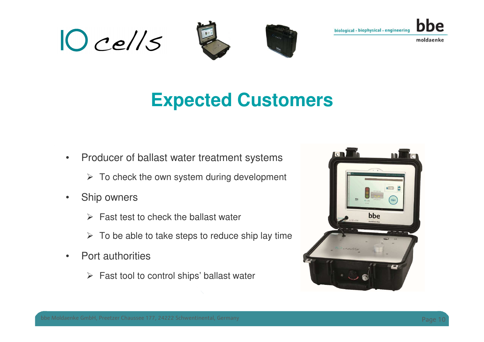







# **Expected Customers**

- • Producer of ballast water treatment systems
	- $\triangleright$  To check the own system during development
- • Ship owners
	- $\triangleright$  Fast test to check the ballast water
	- $\triangleright$  To be able to take steps to reduce ship lay time
- • Port authorities
	- Fast tool to control ships' ballast water

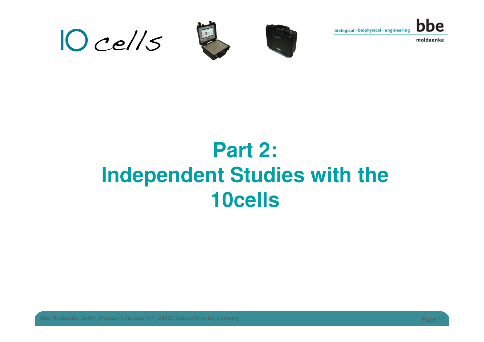







# **Part 2:Independent Studies with the 10cells**

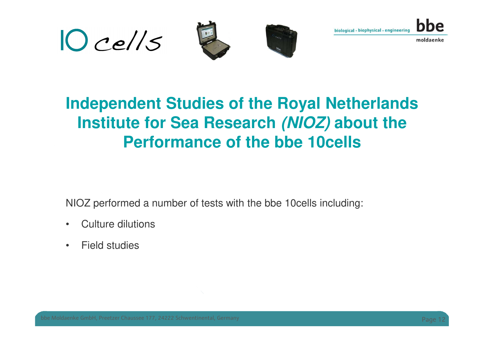

#### **Independent Studies of the Royal Netherlands Institute for Sea Research (NIOZ) about the Performance of the bbe 10cells**

NIOZ performed a number of tests with the bbe 10cells including:

- •Culture dilutions
- •Field studies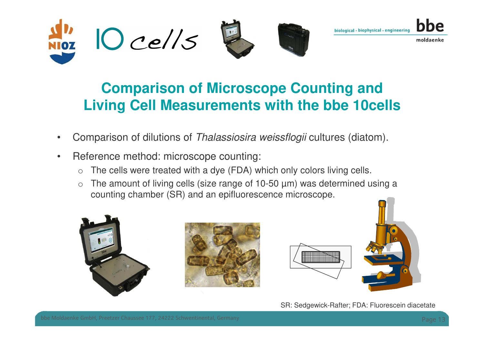

#### **Comparison of Microscope Counting andLiving Cell Measurements with the bbe 10cells**

- •Comparison of dilutions of Thalassiosira weissflogii cultures (diatom).
- • Reference method: microscope counting:
	- oThe cells were treated with a dye (FDA) which only colors living cells.
	- $\bigcap$ The amount of living cells (size range of 10-50  $\mu$ m) was determined using a counting chamber (SR) and an epifluorescence microscope.







SR: Sedgewick-Rafter; FDA: Fluorescein diacetate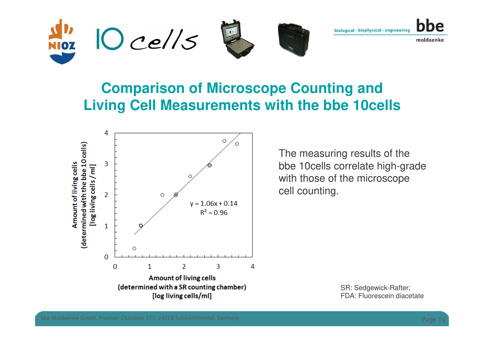

#### **Comparison of Microscope Counting andLiving Cell Measurements with the bbe 10cells**



The measuring results of the bbe 10cells correlate high-grade with those of the microscope cell counting.

> SR: Sedgewick-Rafter;FDA: Fluorescein diacetate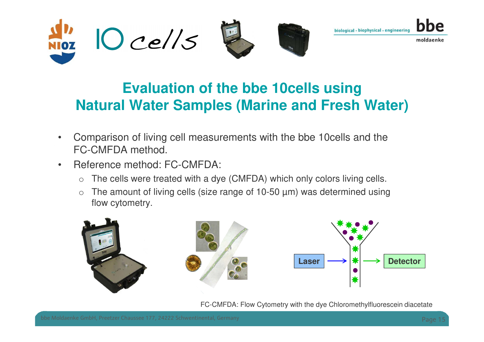

#### **Evaluation of the bbe 10cells usingNatural Water Samples (Marine and Fresh Water)**

- • Comparison of living cell measurements with the bbe 10cells and the FC-CMFDA method.
- • Reference method: FC-CMFDA:
	- $\bigcirc$ The cells were treated with a dye (CMFDA) which only colors living cells.
	- oThe amount of living cells (size range of 10-50  $\mu$ m) was determined using flow cytometry.



FC-CMFDA: Flow Cytometry with the dye Chloromethylfluorescein diacetate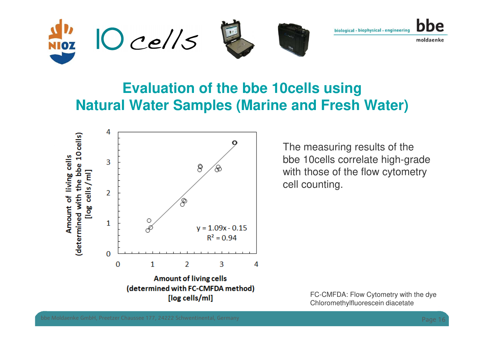

#### **Evaluation of the bbe 10cells usingNatural Water Samples (Marine and Fresh Water)**



The measuring results of the bbe 10cells correlate high-grade with those of the flow cytometry cell counting.

> FC-CMFDA: Flow Cytometry with the dyeChloromethylfluorescein diacetate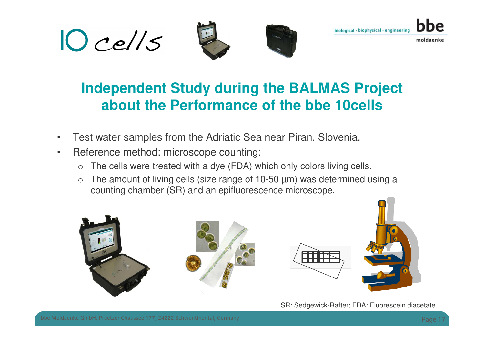







#### **Independent Study during the BALMAS Project about the Performance of the bbe 10cells**

- •Test water samples from the Adriatic Sea near Piran, Slovenia.
- $\bullet$  Reference method: microscope counting:
	- oThe cells were treated with a dye (FDA) which only colors living cells.
	- o The amount of living cells (size range of 10-50 µm) was determined using a counting chamber (SR) and an epifluorescence microscope.



SR: Sedgewick-Rafter; FDA: Fluorescein diacetate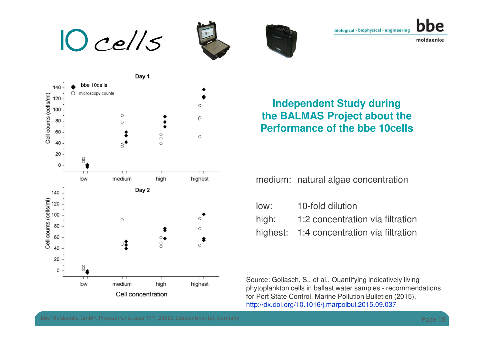









#### **Independent Study during the BALMAS Project about the Performance of the bbe 10cells**

medium: natural algae concentration

low: 10-fold dilutionhigh: 1:2 concentration via filtration highest: 1:4 concentration via filtration

Source: Gollasch, S., et al., Quantifying indicatively living phytoplankton cells in ballast water samples - recommendationsfor Port State Control, Marine Pollution Bulletien (2015), http://dx.doi.org/10.1016/j.marpolbul.2015.09.037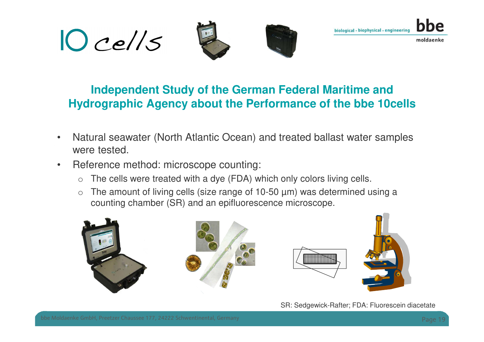







#### **Independent Study of the German Federal Maritime andHydrographic Agency about the Performance of the bbe 10cells**

- • Natural seawater (North Atlantic Ocean) and treated ballast water samples were tested.
- $\bullet$  Reference method: microscope counting:
	- oThe cells were treated with a dye (FDA) which only colors living cells.
	- o The amount of living cells (size range of 10-50 µm) was determined using a counting chamber (SR) and an epifluorescence microscope.



SR: Sedgewick-Rafter; FDA: Fluorescein diacetate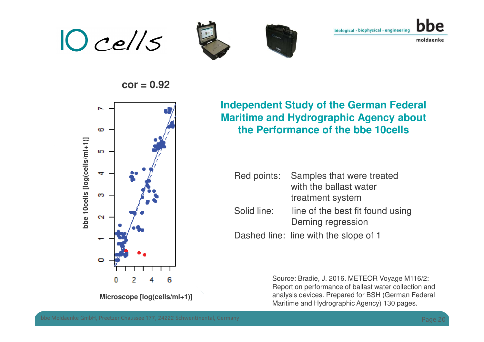$10$  cells







**cor = 0.92** 



**Independent Study of the German Federal Maritime and Hydrographic Agency about the Performance of the bbe 10cells**

|             | Red points: Samples that were treated<br>with the ballast water<br>treatment system |
|-------------|-------------------------------------------------------------------------------------|
| Solid line: | line of the best fit found using<br>Deming regression                               |
|             | Dashed line: line with the slope of 1                                               |

Source: Bradie, J. 2016. METEOR Voyage M116/2: Report on performance of ballast water collection and analysis devices. Prepared for BSH (German Federal Maritime and Hydrographic Agency) 130 pages.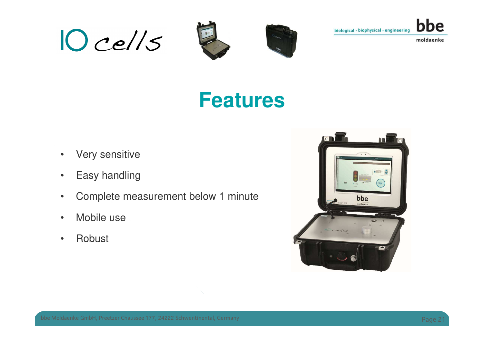







# **Features**

- •Very sensitive
- •Easy handling
- •Complete measurement below 1 minute
- •Mobile use
- •Robust

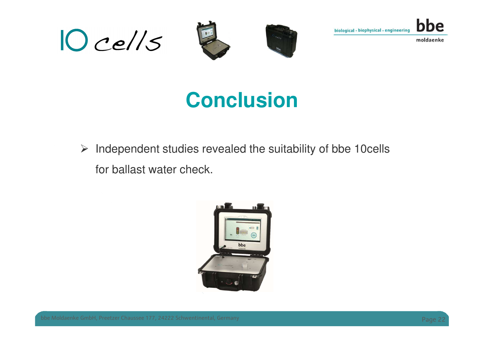







# **Conclusion**

 $\blacktriangleright$  Independent studies revealed the suitability of bbe 10cells for ballast water check.